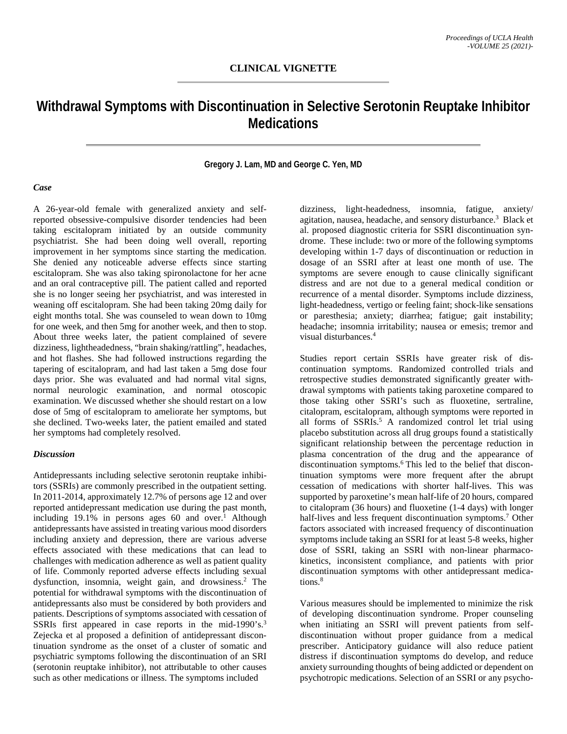# **Withdrawal Symptoms with Discontinuation in Selective Serotonin Reuptake Inhibitor Medications**

## **Gregory J. Lam, MD and George C. Yen, MD**

### *Case*

A 26-year-old female with generalized anxiety and selfreported obsessive-compulsive disorder tendencies had been taking escitalopram initiated by an outside community psychiatrist. She had been doing well overall, reporting improvement in her symptoms since starting the medication. She denied any noticeable adverse effects since starting escitalopram. She was also taking spironolactone for her acne and an oral contraceptive pill. The patient called and reported she is no longer seeing her psychiatrist, and was interested in weaning off escitalopram. She had been taking 20mg daily for eight months total. She was counseled to wean down to 10mg for one week, and then 5mg for another week, and then to stop. About three weeks later, the patient complained of severe dizziness, lightheadedness, "brain shaking/rattling", headaches, and hot flashes. She had followed instructions regarding the tapering of escitalopram, and had last taken a 5mg dose four days prior. She was evaluated and had normal vital signs, normal neurologic examination, and normal otoscopic examination. We discussed whether she should restart on a low dose of 5mg of escitalopram to ameliorate her symptoms, but she declined. Two-weeks later, the patient emailed and stated her symptoms had completely resolved.

## *Discussion*

Antidepressants including selective serotonin reuptake inhibitors (SSRIs) are commonly prescribed in the outpatient setting. In 2011-2014, approximately 12.7% of persons age 12 and over reported antidepressant medication use during the past month, including  $19.1\%$  in persons ages 60 and over.<sup>1</sup> Although antidepressants have assisted in treating various mood disorders including anxiety and depression, there are various adverse effects associated with these medications that can lead to challenges with medication adherence as well as patient quality of life. Commonly reported adverse effects including sexual dysfunction, insomnia, weight gain, and drowsiness.2 The potential for withdrawal symptoms with the discontinuation of antidepressants also must be considered by both providers and patients. Descriptions of symptoms associated with cessation of SSRIs first appeared in case reports in the mid-1990's.<sup>3</sup> Zejecka et al proposed a definition of antidepressant discontinuation syndrome as the onset of a cluster of somatic and psychiatric symptoms following the discontinuation of an SRI (serotonin reuptake inhibitor), not attributable to other causes such as other medications or illness. The symptoms included

dizziness, light-headedness, insomnia, fatigue, anxiety/ agitation, nausea, headache, and sensory disturbance.<sup>3</sup> Black et al. proposed diagnostic criteria for SSRI discontinuation syndrome. These include: two or more of the following symptoms developing within 1-7 days of discontinuation or reduction in dosage of an SSRI after at least one month of use. The symptoms are severe enough to cause clinically significant distress and are not due to a general medical condition or recurrence of a mental disorder. Symptoms include dizziness, light-headedness, vertigo or feeling faint; shock-like sensations or paresthesia; anxiety; diarrhea; fatigue; gait instability; headache; insomnia irritability; nausea or emesis; tremor and visual disturbances.4

Studies report certain SSRIs have greater risk of discontinuation symptoms. Randomized controlled trials and retrospective studies demonstrated significantly greater withdrawal symptoms with patients taking paroxetine compared to those taking other SSRI's such as fluoxetine, sertraline, citalopram, escitalopram, although symptoms were reported in all forms of SSRIs. <sup>5</sup> A randomized control let trial using placebo substitution across all drug groups found a statistically significant relationship between the percentage reduction in plasma concentration of the drug and the appearance of discontinuation symptoms.<sup>6</sup> This led to the belief that discontinuation symptoms were more frequent after the abrupt cessation of medications with shorter half-lives. This was supported by paroxetine's mean half-life of 20 hours, compared to citalopram (36 hours) and fluoxetine (1-4 days) with longer half-lives and less frequent discontinuation symptoms.<sup>7</sup> Other factors associated with increased frequency of discontinuation symptoms include taking an SSRI for at least 5-8 weeks, higher dose of SSRI, taking an SSRI with non-linear pharmacokinetics, inconsistent compliance, and patients with prior discontinuation symptoms with other antidepressant medications.<sup>8</sup>

Various measures should be implemented to minimize the risk of developing discontinuation syndrome. Proper counseling when initiating an SSRI will prevent patients from selfdiscontinuation without proper guidance from a medical prescriber. Anticipatory guidance will also reduce patient distress if discontinuation symptoms do develop, and reduce anxiety surrounding thoughts of being addicted or dependent on psychotropic medications. Selection of an SSRI or any psycho-